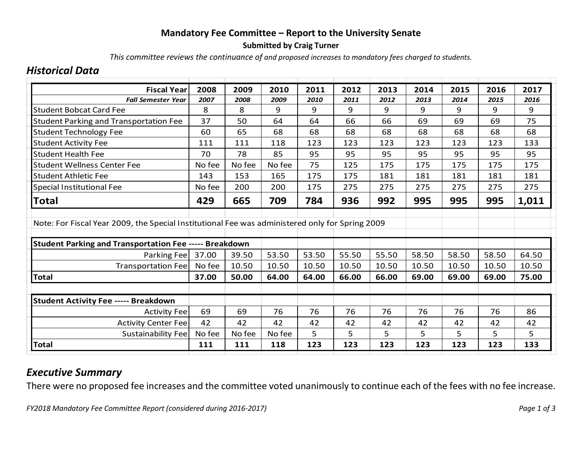#### **Mandatory Fee Committee – Report to the University Senate**

#### **Submitted by Craig Turner**

*This committee reviews the continuance of and proposed increases to mandatory fees charged to students.* 

#### *Historical Data*

| <b>Fiscal Year</b>                                                                              | 2008   | 2009   | 2010   | 2011  | 2012  | 2013  | 2014  | 2015  | 2016  | 2017  |
|-------------------------------------------------------------------------------------------------|--------|--------|--------|-------|-------|-------|-------|-------|-------|-------|
| <b>Fall Semester Year</b>                                                                       | 2007   | 2008   | 2009   | 2010  | 2011  | 2012  | 2013  | 2014  | 2015  | 2016  |
| <b>Student Bobcat Card Fee</b>                                                                  | 8      | 8      | 9      | 9     | 9     | 9     | 9     | 9     | 9     | 9     |
| <b>Student Parking and Transportation Fee</b>                                                   | 37     | 50     | 64     | 64    | 66    | 66    | 69    | 69    | 69    | 75    |
| <b>Student Technology Fee</b>                                                                   | 60     | 65     | 68     | 68    | 68    | 68    | 68    | 68    | 68    | 68    |
| <b>Student Activity Fee</b>                                                                     | 111    | 111    | 118    | 123   | 123   | 123   | 123   | 123   | 123   | 133   |
| <b>Student Health Fee</b>                                                                       | 70     | 78     | 85     | 95    | 95    | 95    | 95    | 95    | 95    | 95    |
| <b>Student Wellness Center Fee</b>                                                              | No fee | No fee | No fee | 75    | 125   | 175   | 175   | 175   | 175   | 175   |
| <b>Student Athletic Fee</b>                                                                     | 143    | 153    | 165    | 175   | 175   | 181   | 181   | 181   | 181   | 181   |
| Special Institutional Fee                                                                       | No fee | 200    | 200    | 175   | 275   | 275   | 275   | 275   | 275   | 275   |
| Total                                                                                           | 429    | 665    | 709    | 784   | 936   | 992   | 995   | 995   | 995   | 1,011 |
| Note: For Fiscal Year 2009, the Special Institutional Fee was administered only for Spring 2009 |        |        |        |       |       |       |       |       |       |       |
| <b>Student Parking and Transportation Fee ----- Breakdown</b>                                   |        |        |        |       |       |       |       |       |       |       |
| Parking Fee                                                                                     | 37.00  | 39.50  | 53.50  | 53.50 | 55.50 | 55.50 | 58.50 | 58.50 | 58.50 | 64.50 |
| Transportation Fee                                                                              | No fee | 10.50  | 10.50  | 10.50 | 10.50 | 10.50 | 10.50 | 10.50 | 10.50 | 10.50 |
| <b>Total</b>                                                                                    | 37.00  | 50.00  | 64.00  | 64.00 | 66.00 | 66.00 | 69.00 | 69.00 | 69.00 | 75.00 |
|                                                                                                 |        |        |        |       |       |       |       |       |       |       |
| <b>Student Activity Fee ----- Breakdown</b>                                                     |        |        |        |       |       |       |       |       |       |       |
| <b>Activity Fee</b>                                                                             | 69     | 69     | 76     | 76    | 76    | 76    | 76    | 76    | 76    | 86    |
| <b>Activity Center Fee</b>                                                                      | 42     | 42     | 42     | 42    | 42    | 42    | 42    | 42    | 42    | 42    |
| Sustainability Fee                                                                              | No fee | No fee | No fee | 5     | 5     | 5     | 5     | 5     | 5     | 5     |
| <b>Total</b>                                                                                    | 111    | 111    | 118    | 123   | 123   | 123   | 123   | 123   | 123   | 133   |

#### *Executive Summary*

There were no proposed fee increases and the committee voted unanimously to continue each of the fees with no fee increase.

*FY2018 Mandatory Fee Committee Report (considered during 2016-2017) Page 1 of 3 Page 1 of 3*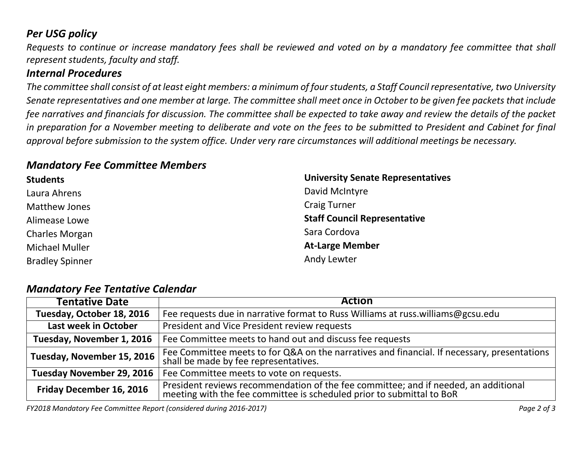# *Per USG policy*

 *Requests to continue or increase mandatory fees shall be reviewed and voted on by a mandatory fee committee that shall represent students, faculty and staff.* 

# *Internal Procedures*

*The committee shall consist of at least eight members: a minimum of four students, a Staff Council representative, two University Senate representatives and one member at large. The committee shall meet once in October to be given fee packets that include fee narratives and financials for discussion. The committee shall be expected to take away and review the details of the packet in preparation for a November meeting to deliberate and vote on the fees to be submitted to President and Cabinet for final approval before submission to the system office. Under very rare circumstances will additional meetings be necessary.* 

# *Mandatory Fee Committee Members*

| <b>Students</b>        | <b>University Senate Representatives</b> |
|------------------------|------------------------------------------|
| Laura Ahrens           | David McIntyre                           |
| <b>Matthew Jones</b>   | <b>Craig Turner</b>                      |
| Alimease Lowe          | <b>Staff Council Representative</b>      |
| <b>Charles Morgan</b>  | Sara Cordova                             |
| <b>Michael Muller</b>  | <b>At-Large Member</b>                   |
| <b>Bradley Spinner</b> | Andy Lewter                              |
|                        |                                          |

# *Mandatory Fee Tentative Calendar*

| <b>Tentative Date</b>            | <b>Action</b>                                                                                                                                                |
|----------------------------------|--------------------------------------------------------------------------------------------------------------------------------------------------------------|
| Tuesday, October 18, 2016        | Fee requests due in narrative format to Russ Williams at russ.williams@gcsu.edu                                                                              |
| Last week in October             | President and Vice President review requests                                                                                                                 |
| Tuesday, November 1, 2016        | Fee Committee meets to hand out and discuss fee requests                                                                                                     |
| Tuesday, November 15, 2016       | Fee Committee meets to for Q&A on the narratives and financial. If necessary, presentations<br>shall be made by fee representatives.                         |
| <b>Tuesday November 29, 2016</b> | Fee Committee meets to vote on requests.                                                                                                                     |
| Friday December 16, 2016         | President reviews recommendation of the fee committee; and if needed, an additional<br>meeting with the fee committee is scheduled prior to submittal to BoR |

*FY2018 Mandatory Fee Committee Report (considered during 2016-2017) Page 2 of 3*